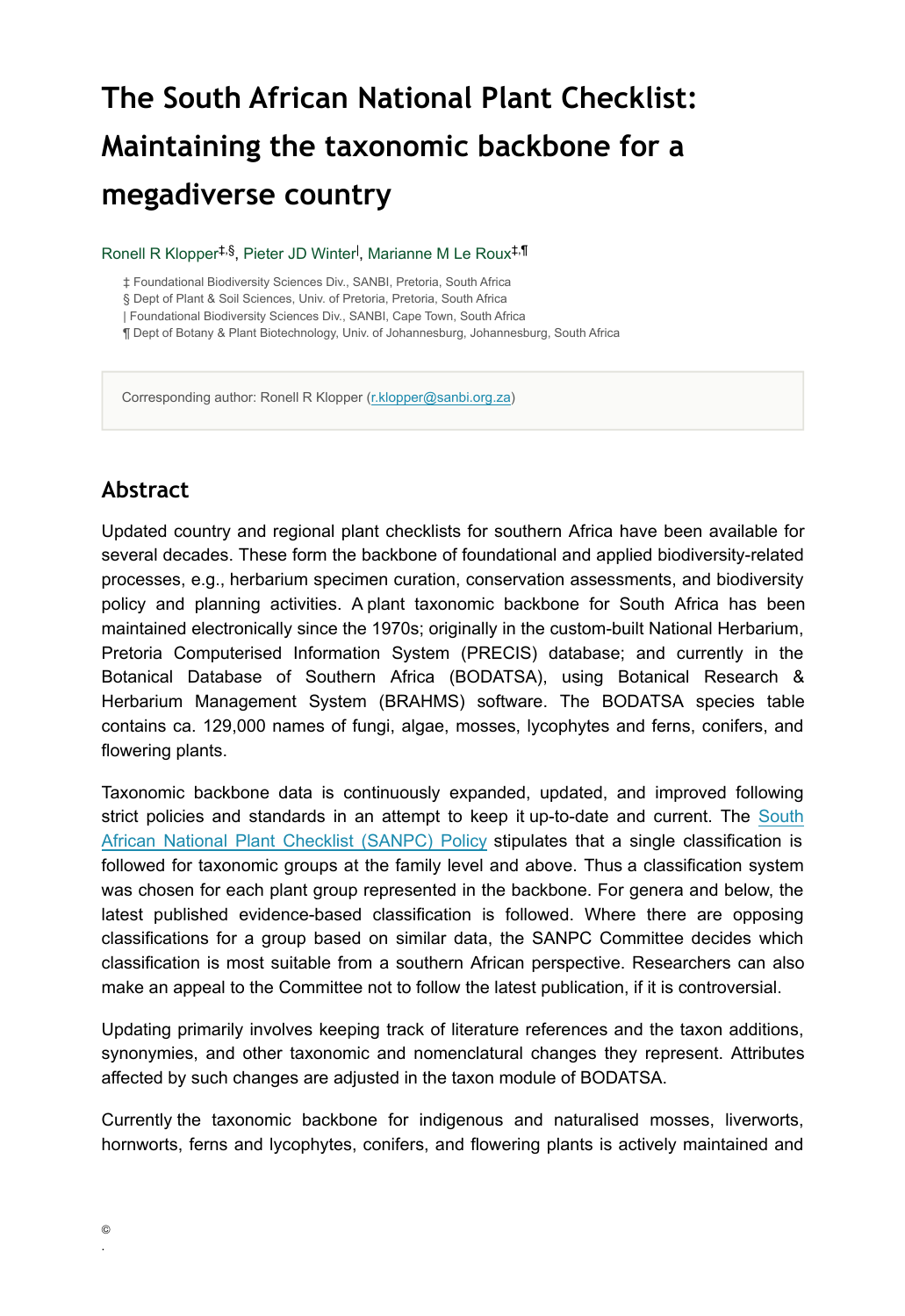# **The South African National Plant Checklist: Maintaining the taxonomic backbone for a megadiverse country**

Ronell R Klopper<sup>‡,§</sup>, Pieter JD Winter<sup>l</sup>, Marianne M Le Roux<sup>‡,¶</sup>

‡ Foundational Biodiversity Sciences Div., SANBI, Pretoria, South Africa

§ Dept of Plant & Soil Sciences, Univ. of Pretoria, Pretoria, South Africa

| Foundational Biodiversity Sciences Div., SANBI, Cape Town, South Africa

¶ Dept of Botany & Plant Biotechnology, Univ. of Johannesburg, Johannesburg, South Africa

Corresponding author: Ronell R Klopper ([r.klopper@sanbi.org.za\)](mailto:r.klopper@sanbi.org.za)

#### **Abstract**

Updated country and regional plant checklists for southern Africa have been available for several decades. These form the backbone of foundational and applied biodiversity-related processes, e.g., herbarium specimen curation, conservation assessments, and biodiversity policy and planning activities. A plant taxonomic backbone for South Africa has been maintained electronically since the 1970s; originally in the custom-built National Herbarium, Pretoria Computerised Information System (PRECIS) database; and currently in the Botanical Database of Southern Africa (BODATSA), using Botanical Research & Herbarium Management System (BRAHMS) software. The BODATSA species table contains ca. 129,000 names of fungi, algae, mosses, lycophytes and ferns, conifers, and flowering plants.

Taxonomic backbone data is continuously expanded, updated, and improved following strict policies and standards in an attempt to keep it up-to-date and current. The [South](https://www.sanbi.org/documents/south-african-national-plant-checklist-policy) [African National Plant Checklist \(SANPC\) Policy](https://www.sanbi.org/documents/south-african-national-plant-checklist-policy) stipulates that a single classification is followed for taxonomic groups at the family level and above. Thus a classification system was chosen for each plant group represented in the backbone. For genera and below, the latest published evidence-based classification is followed. Where there are opposing classifications for a group based on similar data, the SANPC Committee decides which classification is most suitable from a southern African perspective. Researchers can also make an appeal to the Committee not to follow the latest publication, if it is controversial.

Updating primarily involves keeping track of literature references and the taxon additions, synonymies, and other taxonomic and nomenclatural changes they represent. Attributes affected by such changes are adjusted in the taxon module of BODATSA.

Currently the taxonomic backbone for indigenous and naturalised mosses, liverworts, hornworts, ferns and lycophytes, conifers, and flowering plants is actively maintained and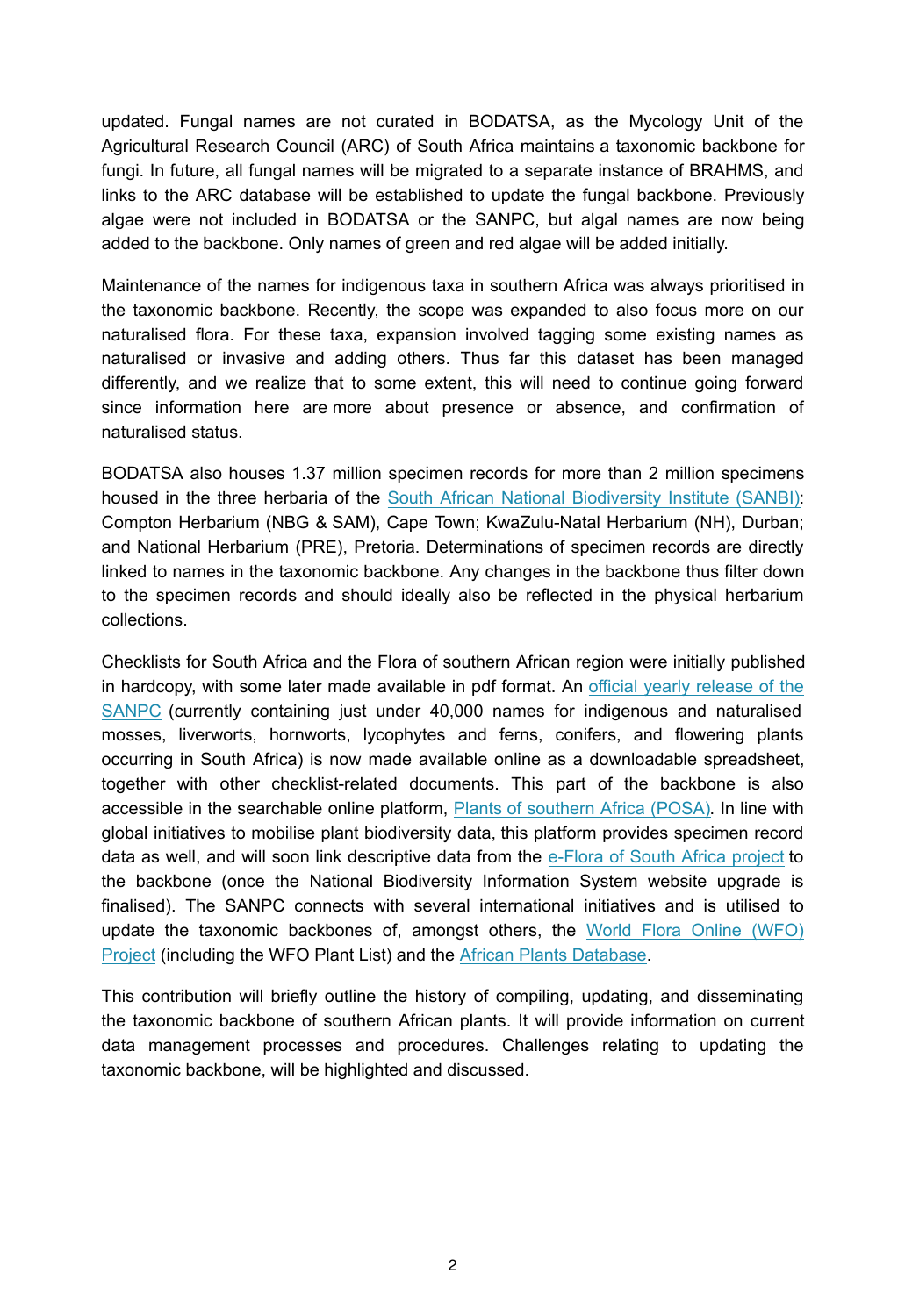updated. Fungal names are not curated in BODATSA, as the Mycology Unit of the Agricultural Research Council (ARC) of South Africa maintains a taxonomic backbone for fungi. In future, all fungal names will be migrated to a separate instance of BRAHMS, and links to the ARC database will be established to update the fungal backbone. Previously algae were not included in BODATSA or the SANPC, but algal names are now being added to the backbone. Only names of green and red algae will be added initially.

Maintenance of the names for indigenous taxa in southern Africa was always prioritised in the taxonomic backbone. Recently, the scope was expanded to also focus more on our naturalised flora. For these taxa, expansion involved tagging some existing names as naturalised or invasive and adding others. Thus far this dataset has been managed differently, and we realize that to some extent, this will need to continue going forward since information here are more about presence or absence, and confirmation of naturalised status.

BODATSA also houses 1.37 million specimen records for more than 2 million specimens housed in the three herbaria of the [South African National Biodiversity Institute \(SANBI\):](https://www.sanbi.org) Compton Herbarium (NBG & SAM), Cape Town; KwaZulu-Natal Herbarium (NH), Durban; and National Herbarium (PRE), Pretoria. Determinations of specimen records are directly linked to names in the taxonomic backbone. Any changes in the backbone thus filter down to the specimen records and should ideally also be reflected in the physical herbarium collections.

Checklists for South Africa and the Flora of southern African region were initially published in hardcopy, with some later made available in pdf format. An [official yearly release of the](http://opus.sanbi.org/handle/20.500.12143/6880) [SANPC](http://opus.sanbi.org/handle/20.500.12143/6880) (currently containing just under 40,000 names for indigenous and naturalised mosses, liverworts, hornworts, lycophytes and ferns, conifers, and flowering plants occurring in South Africa) is now made available online as a downloadable spreadsheet, together with other checklist-related documents. This part of the backbone is also accessible in the searchable online platform, Plants [of southern Africa \(POSA\).](http://posa.sanbi.org) In line with global initiatives to mobilise plant biodiversity data, this platform provides specimen record data as well, and will soon link descriptive data from the [e-Flora of South Africa project](https://www.sanbi.org/biodiversity/foundations/biosystematics-collections/e-flora) to the backbone (once the National Biodiversity Information System website upgrade is finalised). The SANPC connects with several international initiatives and is utilised to update the taxonomic backbones of, amongst others, the [World Flora Online \(WFO\)](http://www.worldfloraonline.org) [Project](http://www.worldfloraonline.org) (including the WFO Plant List) and the [African Plants Database](https://www.ville-ge.ch/musinfo/bd/cjb/africa).

This contribution will briefly outline the history of compiling, updating, and disseminating the taxonomic backbone of southern African plants. It will provide information on current data management processes and procedures. Challenges relating to updating the taxonomic backbone, will be highlighted and discussed.